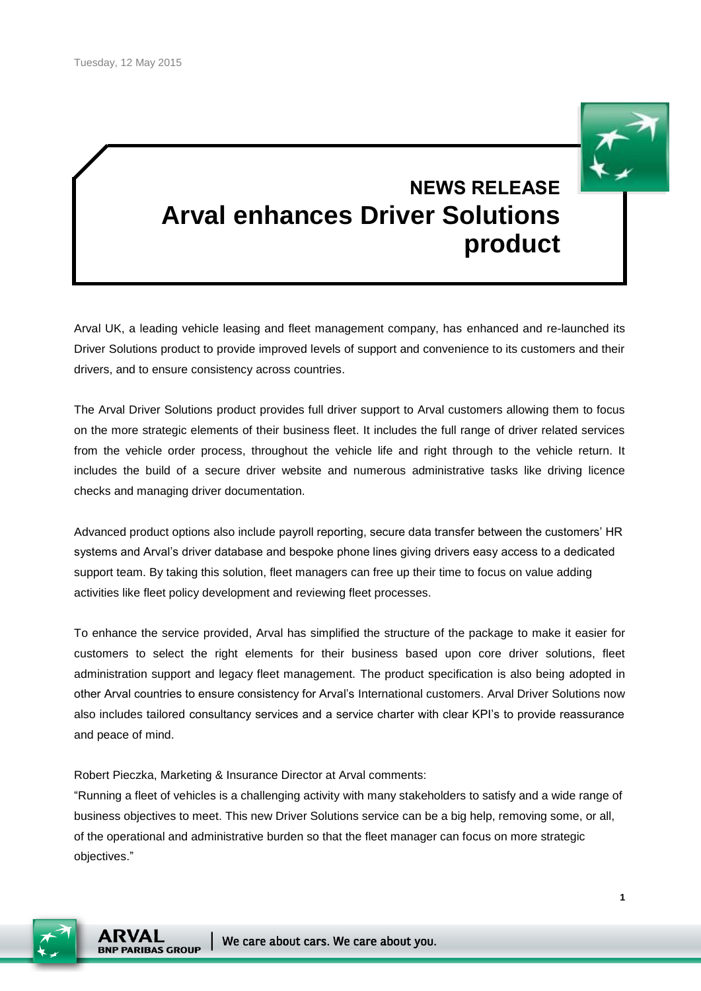

# **NEWS RELEASE Arval enhances Driver Solutions product**

Arval UK, a leading vehicle leasing and fleet management company, has enhanced and re-launched its Driver Solutions product to provide improved levels of support and convenience to its customers and their drivers, and to ensure consistency across countries.

The Arval Driver Solutions product provides full driver support to Arval customers allowing them to focus on the more strategic elements of their business fleet. It includes the full range of driver related services from the vehicle order process, throughout the vehicle life and right through to the vehicle return. It includes the build of a secure driver website and numerous administrative tasks like driving licence checks and managing driver documentation.

Advanced product options also include payroll reporting, secure data transfer between the customers' HR systems and Arval's driver database and bespoke phone lines giving drivers easy access to a dedicated support team. By taking this solution, fleet managers can free up their time to focus on value adding activities like fleet policy development and reviewing fleet processes.

To enhance the service provided, Arval has simplified the structure of the package to make it easier for customers to select the right elements for their business based upon core driver solutions, fleet administration support and legacy fleet management. The product specification is also being adopted in other Arval countries to ensure consistency for Arval's International customers. Arval Driver Solutions now also includes tailored consultancy services and a service charter with clear KPI's to provide reassurance and peace of mind.

Robert Pieczka, Marketing & Insurance Director at Arval comments:

"Running a fleet of vehicles is a challenging activity with many stakeholders to satisfy and a wide range of business objectives to meet. This new Driver Solutions service can be a big help, removing some, or all, of the operational and administrative burden so that the fleet manager can focus on more strategic objectives."



We care about cars. We care about you.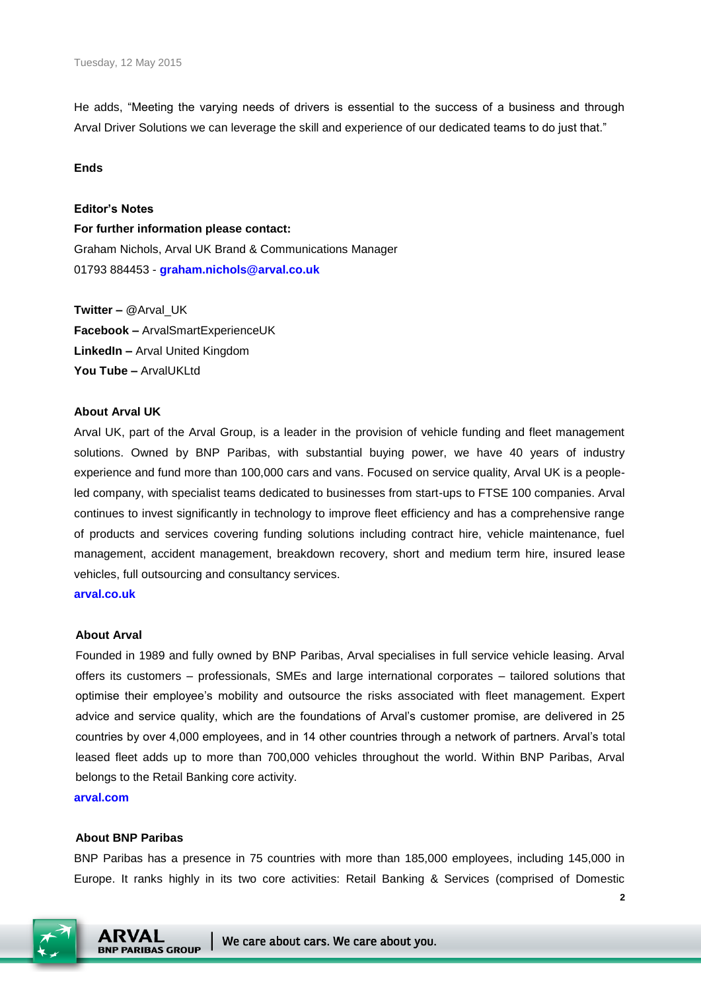He adds, "Meeting the varying needs of drivers is essential to the success of a business and through Arval Driver Solutions we can leverage the skill and experience of our dedicated teams to do just that."

## **Ends**

## **Editor's Notes**

**For further information please contact:** Graham Nichols, Arval UK Brand & Communications Manager 01793 884453 - **[graham.nichols@arval.co.uk](mailto:graham.nichols@arval.co.uk)**

**Twitter –** @Arval\_UK **Facebook –** ArvalSmartExperienceUK **LinkedIn –** Arval United Kingdom **You Tube –** Arvall JKI td.

# **About Arval UK**

Arval UK, part of the Arval Group, is a leader in the provision of vehicle funding and fleet management solutions. Owned by BNP Paribas, with substantial buying power, we have 40 years of industry experience and fund more than 100,000 cars and vans. Focused on service quality, Arval UK is a peopleled company, with specialist teams dedicated to businesses from start-ups to FTSE 100 companies. Arval continues to invest significantly in technology to improve fleet efficiency and has a comprehensive range of products and services covering funding solutions including contract hire, vehicle maintenance, fuel management, accident management, breakdown recovery, short and medium term hire, insured lease vehicles, full outsourcing and consultancy services.

**[arval.co.uk](http://www.arval.co.uk/)**

#### **About Arval**

Founded in 1989 and fully owned by BNP Paribas, Arval specialises in full service vehicle leasing. Arval offers its customers – professionals, SMEs and large international corporates – tailored solutions that optimise their employee's mobility and outsource the risks associated with fleet management. Expert advice and service quality, which are the foundations of Arval's customer promise, are delivered in 25 countries by over 4,000 employees, and in 14 other countries through a network of partners. Arval's total leased fleet adds up to more than 700,000 vehicles throughout the world. Within BNP Paribas, Arval belongs to the Retail Banking core activity.

**arval.com**

## **About BNP Paribas**

BNP Paribas has a presence in 75 countries with more than 185,000 employees, including 145,000 in Europe. It ranks highly in its two core activities: Retail Banking & Services (comprised of Domestic